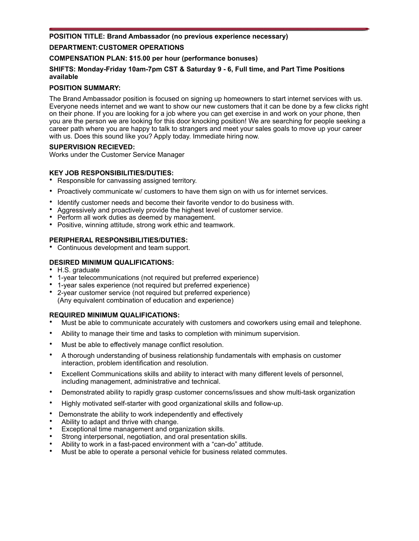# **POSITION TITLE: Brand Ambassador (no previous experience necessary) DEPARTMENT: CUSTOMER OPERATIONS**

# **COMPENSATION PLAN: \$15.00 per hour (performance bonuses)**

# **SHIFTS: Monday-Friday 10am-7pm CST & Saturday 9 - 6, Full time, and Part Time Positions available**

# **POSITION SUMMARY:**

The Brand Ambassador position is focused on signing up homeowners to start internet services with us. Everyone needs internet and we want to show our new customers that it can be done by a few clicks right on their phone. If you are looking for a job where you can get exercise in and work on your phone, then you are the person we are looking for this door knocking position! We are searching for people seeking a career path where you are happy to talk to strangers and meet your sales goals to move up your career with us. Does this sound like you? Apply today. Immediate hiring now.

## **SUPERVISION RECIEVED:**

Works under the Customer Service Manager

# **KEY JOB RESPONSIBILITIES/DUTIES:**

- Responsible for canvassing assigned territory.
- Proactively communicate w/ customers to have them sign on with us for internet services.
- Identify customer needs and become their favorite vendor to do business with.
- Aggressively and proactively provide the highest level of customer service.
- Perform all work duties as deemed by management.
- Positive, winning attitude, strong work ethic and teamwork.

# **PERIPHERAL RESPONSIBILITIES/DUTIES:**

• Continuous development and team support.

## **DESIRED MINIMUM QUALIFICATIONS:**

- H.S. graduate
- 1-year telecommunications (not required but preferred experience)
- 1-year sales experience (not required but preferred experience)
- 2-year customer service (not required but preferred experience) (Any equivalent combination of education and experience)

# **REQUIRED MINIMUM QUALIFICATIONS:**

- Must be able to communicate accurately with customers and coworkers using email and telephone.
- Ability to manage their time and tasks to completion with minimum supervision.
- Must be able to effectively manage conflict resolution.
- A thorough understanding of business relationship fundamentals with emphasis on customer interaction, problem identification and resolution.
- Excellent Communications skills and ability to interact with many different levels of personnel, including management, administrative and technical.
- Demonstrated ability to rapidly grasp customer concerns/issues and show multi-task organization
- Highly motivated self-starter with good organizational skills and follow-up.
- Demonstrate the ability to work independently and effectively
- Ability to adapt and thrive with change.
- Exceptional time management and organization skills.
- Strong interpersonal, negotiation, and oral presentation skills.
- Ability to work in a fast-paced environment with a "can-do" attitude.
- Must be able to operate a personal vehicle for business related commutes.